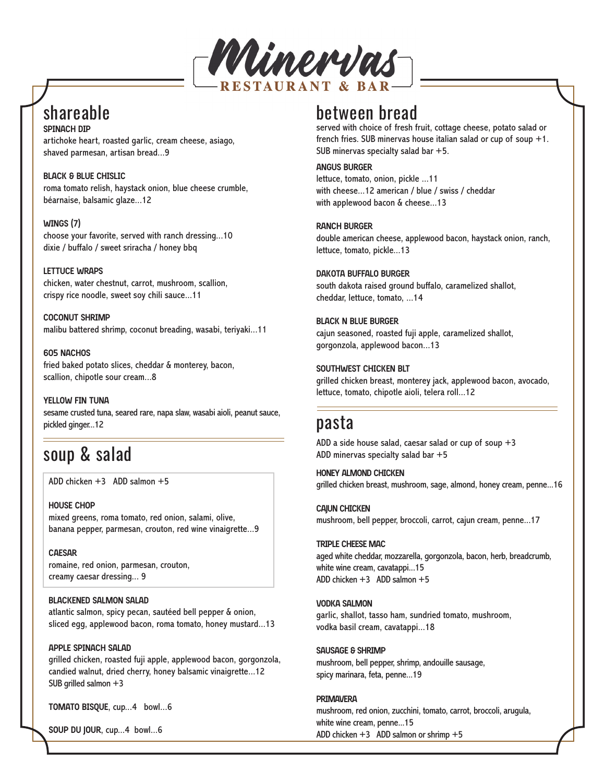

# shareable

**SPINACH DIP** artichoke heart, roasted garlic, cream cheese, asiago, shaved parmesan, artisan bread...9

**BLACK & BLUE CHISLIC** roma tomato relish, haystack onion, blue cheese crumble, béarnaise, balsamic glaze...12

**WINGS (7)** choose your favorite, served with ranch dressing...10 dixie / buffalo / sweet sriracha / honey bbq

**LETTUCE WRAPS**

chicken, water chestnut, carrot, mushroom, scallion, crispy rice noodle, sweet soy chili sauce...11

**COCONUT SHRIMP** malibu battered shrimp, coconut breading, wasabi, teriyaki...11

**605 NACHOS** fried baked potato slices, cheddar & monterey, bacon, scallion, chipotle sour cream...8

**YELLOW FIN TUNA**  sesame crusted tuna, seared rare, napa slaw, wasabi aioli, peanut sauce, pickled ginger...12

# soup & salad

ADD chicken +3 ADD salmon +5

**HOUSE CHOP** mixed greens, roma tomato, red onion, salami, olive, banana pepper, parmesan, crouton, red wine vinaigrette...9

**CAESAR** romaine, red onion, parmesan, crouton, creamy caesar dressing... 9

#### **BLACKENED SALMON SALAD**

atlantic salmon, spicy pecan, sautéed bell pepper & onion, sliced egg, applewood bacon, roma tomato, honey mustard...13

**APPLE SPINACH SALAD**

grilled chicken, roasted fuji apple, applewood bacon, gorgonzola, candied walnut, dried cherry, honey balsamic vinaigrette...12 SUB grilled salmon +3

**TOMATO BISQUE**, cup...4 bowl...6

**SOUP DU JOUR**, cup...4 bowl...6

# between bread

served with choice of fresh fruit, cottage cheese, potato salad or french fries. SUB minervas house italian salad or cup of soup  $+1$ . SUB minervas specialty salad bar  $+5$ .

#### **ANGUS BURGER**

lettuce, tomato, onion, pickle ...11 with cheese...12 american / blue / swiss / cheddar with applewood bacon & cheese...13

**RANCH BURGER**

double american cheese, applewood bacon, haystack onion, ranch, lettuce, tomato, pickle...13

### **DAKOTA BUFFALO BURGER**

south dakota raised ground buffalo, caramelized shallot, cheddar, lettuce, tomato, ...14

#### **BLACK N BLUE BURGER**

cajun seasoned, roasted fuji apple, caramelized shallot, gorgonzola, applewood bacon...13

**SOUTHWEST CHICKEN BLT** grilled chicken breast, monterey jack, applewood bacon, avocado, lettuce, tomato, chipotle aioli, telera roll...12

### pasta

ADD a side house salad, caesar salad or cup of soup  $+3$ ADD minervas specialty salad bar +5

**HONEY ALMOND CHICKEN**  grilled chicken breast, mushroom, sage, almond, honey cream, penne...16

**CAJUN CHICKEN**

mushroom, bell pepper, broccoli, carrot, cajun cream, penne...17

### **TRIPLE CHEESE MAC**

aged white cheddar, mozzarella, gorgonzola, bacon, herb, breadcrumb, white wine cream, cavatappi...15 ADD chicken +3 ADD salmon +5

### **VODKA SALMON**

garlic, shallot, tasso ham, sundried tomato, mushroom, vodka basil cream, cavatappi...18

**SAUSAGE & SHRIMP**

mushroom, bell pepper, shrimp, andouille sausage, spicy marinara, feta, penne...19

#### **PRIMAVERA**

mushroom, red onion, zucchini, tomato, carrot, broccoli, arugula, white wine cream, penne...15 ADD chicken +3 ADD salmon or shrimp +5